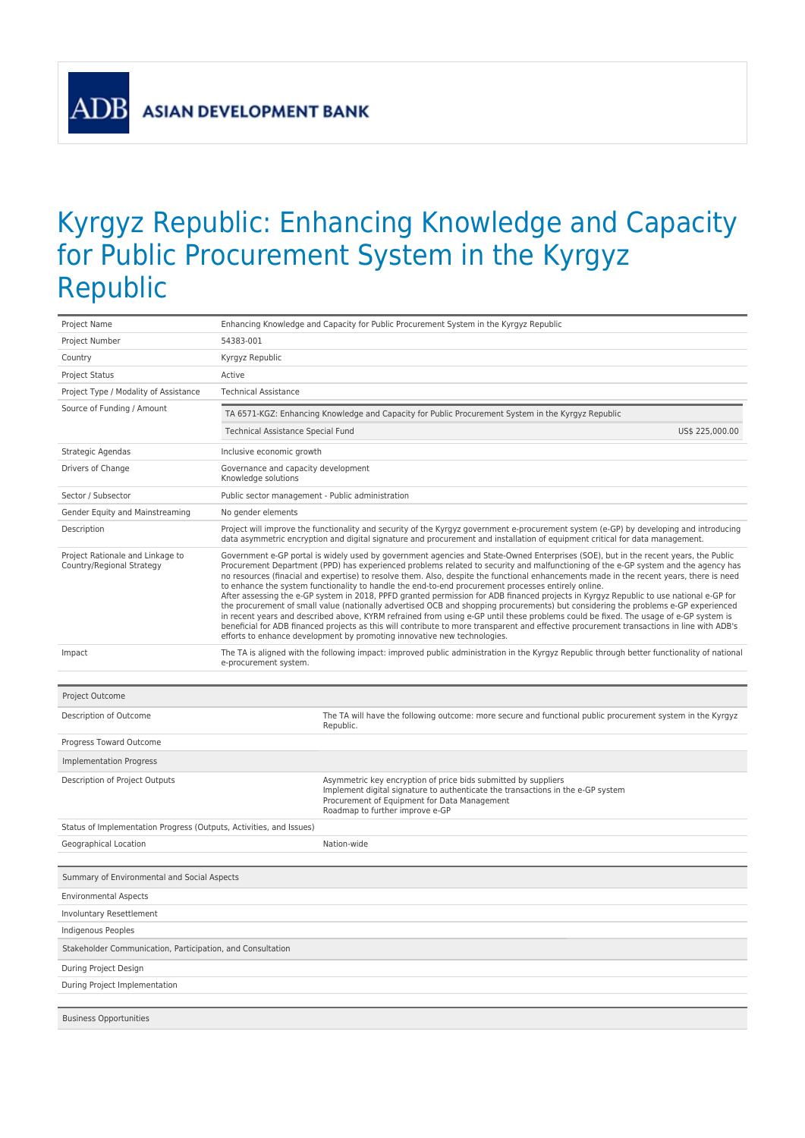**ADI** 

## Kyrgyz Republic: Enhancing Knowledge and Capacity for Public Procurement System in the Kyrgyz Republic

| Project Name                                                        |                                                                                                    | Enhancing Knowledge and Capacity for Public Procurement System in the Kyrgyz Republic                                                                                                                                                                                                                                                                                                                                                                                                                                                                                                                                                                                                                                                                                                                                                                                                                                                                                                                                                                                                                                                                                          |  |  |  |  |
|---------------------------------------------------------------------|----------------------------------------------------------------------------------------------------|--------------------------------------------------------------------------------------------------------------------------------------------------------------------------------------------------------------------------------------------------------------------------------------------------------------------------------------------------------------------------------------------------------------------------------------------------------------------------------------------------------------------------------------------------------------------------------------------------------------------------------------------------------------------------------------------------------------------------------------------------------------------------------------------------------------------------------------------------------------------------------------------------------------------------------------------------------------------------------------------------------------------------------------------------------------------------------------------------------------------------------------------------------------------------------|--|--|--|--|
| Project Number                                                      | 54383-001                                                                                          |                                                                                                                                                                                                                                                                                                                                                                                                                                                                                                                                                                                                                                                                                                                                                                                                                                                                                                                                                                                                                                                                                                                                                                                |  |  |  |  |
| Country                                                             | Kyrgyz Republic                                                                                    |                                                                                                                                                                                                                                                                                                                                                                                                                                                                                                                                                                                                                                                                                                                                                                                                                                                                                                                                                                                                                                                                                                                                                                                |  |  |  |  |
| <b>Project Status</b>                                               | Active                                                                                             |                                                                                                                                                                                                                                                                                                                                                                                                                                                                                                                                                                                                                                                                                                                                                                                                                                                                                                                                                                                                                                                                                                                                                                                |  |  |  |  |
| Project Type / Modality of Assistance                               | <b>Technical Assistance</b>                                                                        |                                                                                                                                                                                                                                                                                                                                                                                                                                                                                                                                                                                                                                                                                                                                                                                                                                                                                                                                                                                                                                                                                                                                                                                |  |  |  |  |
| Source of Funding / Amount                                          | TA 6571-KGZ: Enhancing Knowledge and Capacity for Public Procurement System in the Kyrgyz Republic |                                                                                                                                                                                                                                                                                                                                                                                                                                                                                                                                                                                                                                                                                                                                                                                                                                                                                                                                                                                                                                                                                                                                                                                |  |  |  |  |
|                                                                     | Technical Assistance Special Fund                                                                  | US\$ 225,000.00                                                                                                                                                                                                                                                                                                                                                                                                                                                                                                                                                                                                                                                                                                                                                                                                                                                                                                                                                                                                                                                                                                                                                                |  |  |  |  |
| Strategic Agendas                                                   | Inclusive economic growth                                                                          |                                                                                                                                                                                                                                                                                                                                                                                                                                                                                                                                                                                                                                                                                                                                                                                                                                                                                                                                                                                                                                                                                                                                                                                |  |  |  |  |
| Drivers of Change                                                   | Governance and capacity development<br>Knowledge solutions                                         |                                                                                                                                                                                                                                                                                                                                                                                                                                                                                                                                                                                                                                                                                                                                                                                                                                                                                                                                                                                                                                                                                                                                                                                |  |  |  |  |
| Sector / Subsector                                                  | Public sector management - Public administration                                                   |                                                                                                                                                                                                                                                                                                                                                                                                                                                                                                                                                                                                                                                                                                                                                                                                                                                                                                                                                                                                                                                                                                                                                                                |  |  |  |  |
| Gender Equity and Mainstreaming                                     | No gender elements                                                                                 |                                                                                                                                                                                                                                                                                                                                                                                                                                                                                                                                                                                                                                                                                                                                                                                                                                                                                                                                                                                                                                                                                                                                                                                |  |  |  |  |
| Description                                                         |                                                                                                    | Project will improve the functionality and security of the Kyrgyz government e-procurement system (e-GP) by developing and introducing<br>data asymmetric encryption and digital signature and procurement and installation of equipment critical for data management.                                                                                                                                                                                                                                                                                                                                                                                                                                                                                                                                                                                                                                                                                                                                                                                                                                                                                                         |  |  |  |  |
| Project Rationale and Linkage to<br>Country/Regional Strategy       |                                                                                                    | Government e-GP portal is widely used by government agencies and State-Owned Enterprises (SOE), but in the recent years, the Public<br>Procurement Department (PPD) has experienced problems related to security and malfunctioning of the e-GP system and the agency has<br>no resources (finacial and expertise) to resolve them. Also, despite the functional enhancements made in the recent years, there is need<br>to enhance the system functionality to handle the end-to-end procurement processes entirely online.<br>After assessing the e-GP system in 2018, PPFD granted permission for ADB financed projects in Kyrgyz Republic to use national e-GP for<br>the procurement of small value (nationally advertised OCB and shopping procurements) but considering the problems e-GP experienced<br>in recent years and described above, KYRM refrained from using e-GP until these problems could be fixed. The usage of e-GP system is<br>beneficial for ADB financed projects as this will contribute to more transparent and effective procurement transactions in line with ADB's<br>efforts to enhance development by promoting innovative new technologies. |  |  |  |  |
| Impact                                                              | e-procurement system.                                                                              | The TA is aligned with the following impact: improved public administration in the Kyrgyz Republic through better functionality of national                                                                                                                                                                                                                                                                                                                                                                                                                                                                                                                                                                                                                                                                                                                                                                                                                                                                                                                                                                                                                                    |  |  |  |  |
|                                                                     |                                                                                                    |                                                                                                                                                                                                                                                                                                                                                                                                                                                                                                                                                                                                                                                                                                                                                                                                                                                                                                                                                                                                                                                                                                                                                                                |  |  |  |  |
|                                                                     |                                                                                                    |                                                                                                                                                                                                                                                                                                                                                                                                                                                                                                                                                                                                                                                                                                                                                                                                                                                                                                                                                                                                                                                                                                                                                                                |  |  |  |  |
| Project Outcome                                                     |                                                                                                    |                                                                                                                                                                                                                                                                                                                                                                                                                                                                                                                                                                                                                                                                                                                                                                                                                                                                                                                                                                                                                                                                                                                                                                                |  |  |  |  |
| Description of Outcome                                              |                                                                                                    | The TA will have the following outcome: more secure and functional public procurement system in the Kyrgyz<br>Republic.                                                                                                                                                                                                                                                                                                                                                                                                                                                                                                                                                                                                                                                                                                                                                                                                                                                                                                                                                                                                                                                        |  |  |  |  |
| Progress Toward Outcome                                             |                                                                                                    |                                                                                                                                                                                                                                                                                                                                                                                                                                                                                                                                                                                                                                                                                                                                                                                                                                                                                                                                                                                                                                                                                                                                                                                |  |  |  |  |
| <b>Implementation Progress</b>                                      |                                                                                                    |                                                                                                                                                                                                                                                                                                                                                                                                                                                                                                                                                                                                                                                                                                                                                                                                                                                                                                                                                                                                                                                                                                                                                                                |  |  |  |  |
| Description of Project Outputs                                      |                                                                                                    | Asymmetric key encryption of price bids submitted by suppliers<br>Implement digital signature to authenticate the transactions in the e-GP system<br>Procurement of Equipment for Data Management<br>Roadmap to further improve e-GP                                                                                                                                                                                                                                                                                                                                                                                                                                                                                                                                                                                                                                                                                                                                                                                                                                                                                                                                           |  |  |  |  |
| Status of Implementation Progress (Outputs, Activities, and Issues) |                                                                                                    |                                                                                                                                                                                                                                                                                                                                                                                                                                                                                                                                                                                                                                                                                                                                                                                                                                                                                                                                                                                                                                                                                                                                                                                |  |  |  |  |
| Geographical Location                                               |                                                                                                    | Nation-wide                                                                                                                                                                                                                                                                                                                                                                                                                                                                                                                                                                                                                                                                                                                                                                                                                                                                                                                                                                                                                                                                                                                                                                    |  |  |  |  |
| Summary of Environmental and Social Aspects                         |                                                                                                    |                                                                                                                                                                                                                                                                                                                                                                                                                                                                                                                                                                                                                                                                                                                                                                                                                                                                                                                                                                                                                                                                                                                                                                                |  |  |  |  |
| <b>Environmental Aspects</b>                                        |                                                                                                    |                                                                                                                                                                                                                                                                                                                                                                                                                                                                                                                                                                                                                                                                                                                                                                                                                                                                                                                                                                                                                                                                                                                                                                                |  |  |  |  |
| <b>Involuntary Resettlement</b>                                     |                                                                                                    |                                                                                                                                                                                                                                                                                                                                                                                                                                                                                                                                                                                                                                                                                                                                                                                                                                                                                                                                                                                                                                                                                                                                                                                |  |  |  |  |
| Indigenous Peoples                                                  |                                                                                                    |                                                                                                                                                                                                                                                                                                                                                                                                                                                                                                                                                                                                                                                                                                                                                                                                                                                                                                                                                                                                                                                                                                                                                                                |  |  |  |  |
| Stakeholder Communication, Participation, and Consultation          |                                                                                                    |                                                                                                                                                                                                                                                                                                                                                                                                                                                                                                                                                                                                                                                                                                                                                                                                                                                                                                                                                                                                                                                                                                                                                                                |  |  |  |  |
| During Project Design                                               |                                                                                                    |                                                                                                                                                                                                                                                                                                                                                                                                                                                                                                                                                                                                                                                                                                                                                                                                                                                                                                                                                                                                                                                                                                                                                                                |  |  |  |  |
| During Project Implementation                                       |                                                                                                    |                                                                                                                                                                                                                                                                                                                                                                                                                                                                                                                                                                                                                                                                                                                                                                                                                                                                                                                                                                                                                                                                                                                                                                                |  |  |  |  |
|                                                                     |                                                                                                    |                                                                                                                                                                                                                                                                                                                                                                                                                                                                                                                                                                                                                                                                                                                                                                                                                                                                                                                                                                                                                                                                                                                                                                                |  |  |  |  |